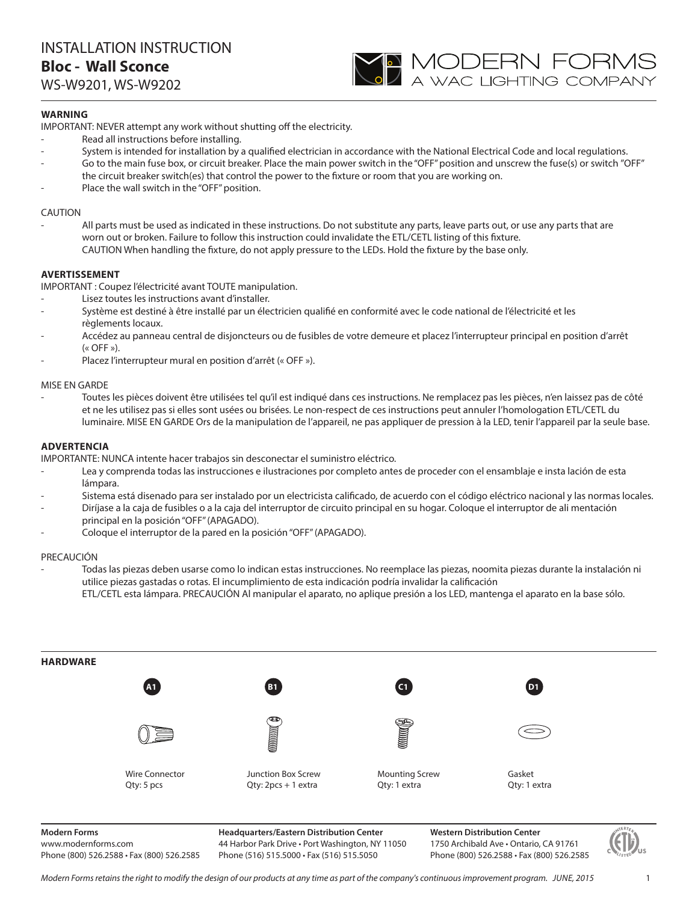

# **WARNING**

IMPORTANT: NEVER attempt any work without shutting off the electricity.

- Read all instructions before installing.
- System is intended for installation by a qualified electrician in accordance with the National Electrical Code and local regulations.
- Go to the main fuse box, or circuit breaker. Place the main power switch in the "OFF" position and unscrew the fuse(s) or switch "OFF" the circuit breaker switch(es) that control the power to the fixture or room that you are working on.
- Place the wall switch in the "OFF" position.

## CAUTION

All parts must be used as indicated in these instructions. Do not substitute any parts, leave parts out, or use any parts that are worn out or broken. Failure to follow this instruction could invalidate the ETL/CETL listing of this fixture. CAUTION When handling the fixture, do not apply pressure to the LEDs. Hold the fixture by the base only.

# **AVERTISSEMENT**

IMPORTANT : Coupez l'électricité avant TOUTE manipulation.

- Lisez toutes les instructions avant d'installer.
- Système est destiné à être installé par un électricien qualifié en conformité avec le code national de l'électricité et les règlements locaux.
- Accédez au panneau central de disjoncteurs ou de fusibles de votre demeure et placez l'interrupteur principal en position d'arrêt  $(\kappa$  OFF »).
- Placez l'interrupteur mural en position d'arrêt (« OFF »).

### MISE EN GARDE

- Toutes les pièces doivent être utilisées tel qu'il est indiqué dans ces instructions. Ne remplacez pas les pièces, n'en laissez pas de côté et ne les utilisez pas si elles sont usées ou brisées. Le non-respect de ces instructions peut annuler l'homologation ETL/CETL du luminaire. MISE EN GARDE Ors de la manipulation de l'appareil, ne pas appliquer de pression à la LED, tenir l'appareil par la seule base.

### **ADVERTENCIA**

IMPORTANTE: NUNCA intente hacer trabajos sin desconectar el suministro eléctrico.

- Lea y comprenda todas las instrucciones e ilustraciones por completo antes de proceder con el ensamblaje e insta lación de esta lámpara.
- Sistema está disenado para ser instalado por un electricista calificado, de acuerdo con el código eléctrico nacional y las normas locales.
- Diríjase a la caja de fusibles o a la caja del interruptor de circuito principal en su hogar. Coloque el interruptor de ali mentación principal en la posición "OFF" (APAGADO).
- Coloque el interruptor de la pared en la posición "OFF" (APAGADO).

#### PRECAUCIÓN

- Todas las piezas deben usarse como lo indican estas instrucciones. No reemplace las piezas, noomita piezas durante la instalación ni utilice piezas gastadas o rotas. El incumplimiento de esta indicación podría invalidar la calificación ETL/CETL esta lámpara. PRECAUCIÓN Al manipular el aparato, no aplique presión a los LED, mantenga el aparato en la base sólo.



**Modern Forms**

www.modernforms.com Phone (800) 526.2588 • Fax (800) 526.2585 **Headquarters/Eastern Distribution Center** 44 Harbor Park Drive • Port Washington, NY 11050 Phone (516) 515.5000 • Fax (516) 515.5050

**Western Distribution Center**  1750 Archibald Ave • Ontario, CA 91761 Phone (800) 526.2588 • Fax (800) 526.2585